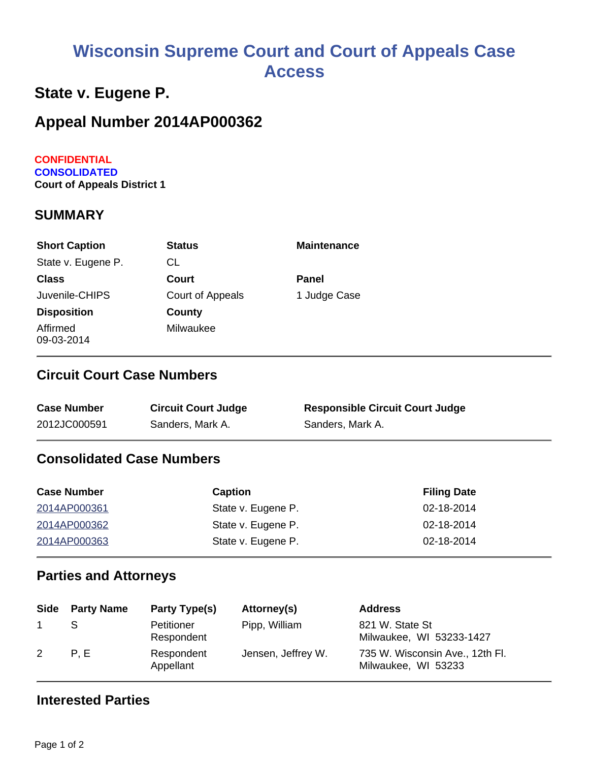# **Wisconsin Supreme Court and Court of Appeals Case Access**

## **State v. Eugene P.**

# **Appeal Number 2014AP000362**

#### **CONFIDENTIAL CONSOLIDATED Court of Appeals District 1**

#### **SUMMARY**

| <b>Short Caption</b>   | <b>Status</b>    | <b>Maintenance</b> |
|------------------------|------------------|--------------------|
| State v. Eugene P.     | СL               |                    |
| <b>Class</b>           | Court            | Panel              |
| Juvenile-CHIPS         | Court of Appeals | 1 Judge Case       |
| <b>Disposition</b>     | County           |                    |
| Affirmed<br>09-03-2014 | Milwaukee        |                    |

#### **Circuit Court Case Numbers**

| <b>Case Number</b> | <b>Circuit Court Judge</b> | <b>Responsible Circuit Court Judge</b> |
|--------------------|----------------------------|----------------------------------------|
| 2012JC000591       | Sanders, Mark A.           | Sanders, Mark A.                       |

#### **Consolidated Case Numbers**

| <b>Case Number</b> | <b>Caption</b>     | <b>Filing Date</b> |
|--------------------|--------------------|--------------------|
| 2014AP000361       | State v. Eugene P. | 02-18-2014         |
| 2014AP000362       | State v. Eugene P. | 02-18-2014         |
| 2014AP000363       | State v. Eugene P. | 02-18-2014         |

#### **Parties and Attorneys**

|   | Side Party Name | Party Type(s)            | Attorney(s)        | <b>Address</b>                                         |
|---|-----------------|--------------------------|--------------------|--------------------------------------------------------|
|   |                 | Petitioner<br>Respondent | Pipp, William      | 821 W. State St<br>Milwaukee, WI 53233-1427            |
| 2 | P.E             | Respondent<br>Appellant  | Jensen, Jeffrey W. | 735 W. Wisconsin Ave., 12th Fl.<br>Milwaukee, WI 53233 |

#### **Interested Parties**